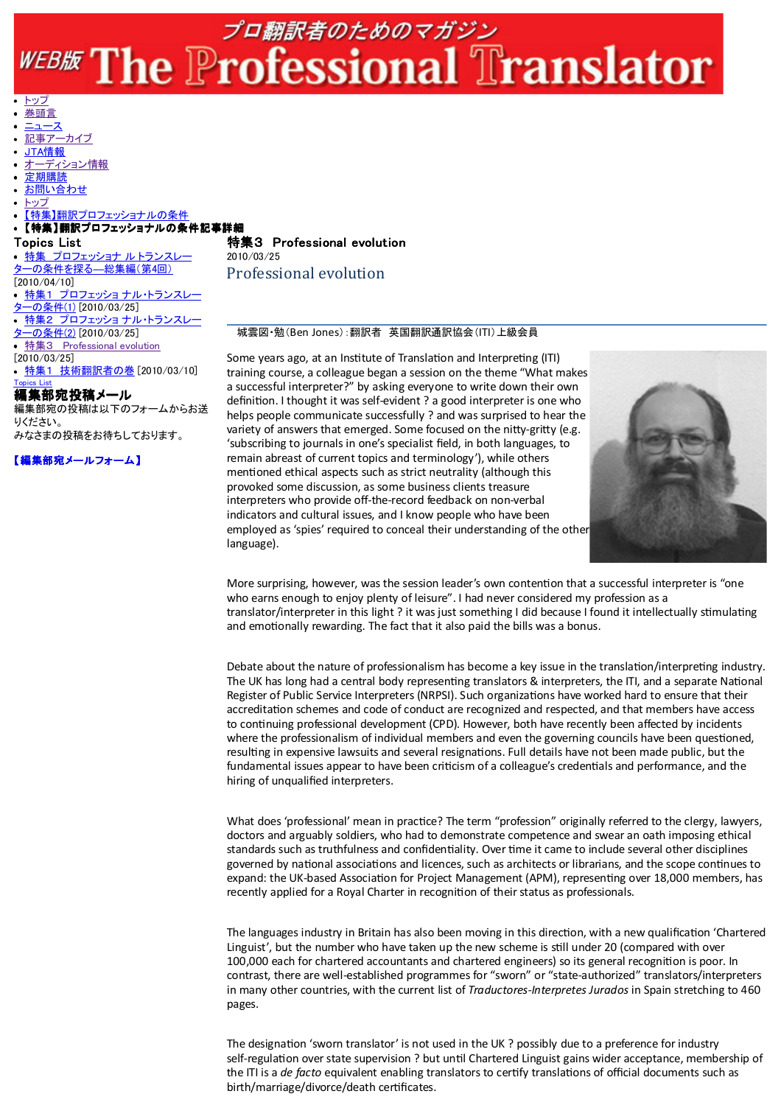## プロ翻訳者のためのマガジン WEBE The Professional Translator

トップ 巻頭言

- ニュース
- 記事アーカイブ
- JTA情報
- オーディション情報
- 定期購読
- お問い合わせ
- トップ

## 【特集】翻訳プロフェッショナルの条件

## 【特集】翻訳プロフェッショナルの条件記事詳細

Topics List 特集 プロフェッショナ ルトランスレ ターの条件を探る―総集編(第4回) [2010/04/10] • 特集1 プロフェッショ ナル・トランスレ ターの条件(1) [2010/03/25] 特集2 プロフェッショ ナル・トランスレー <u>ターの条件(2)</u> [2010/03/25] 特集3 Professional evolution  $[2010/03/25]$ 特集1 技術翻訳者の巻 [2010/03/10] Topics List 編集部宛投稿メール

編集部宛の投稿は以下のフォームからお送 りください。 みなさまの投稿をお待ちしております。

【編集部宛メールフォーム】

特集3 Professional evolution 2010/03/25 Professional evolution

## 城雲図・勉(Ben Jones):翻訳者 英国翻訳通訳協会(ITI)上級会員

Some years ago, at an Institute of Translation and Interpreting (ITI) training course, a colleague began a session on the theme "What makes a successful interpreter?" by asking everyone to write down their own definition. I thought it was self-evident ? a good interpreter is one who helps people communicate successfully ? and was surprised to hear the variety of answers that emerged. Some focused on the nitty-gritty (e.g. 'subscribing to journals in one's specialist field, in both languages, to remain abreast of current topics and terminology'), while others mentioned ethical aspects such as strict neutrality (although this provoked some discussion, as some business clients treasure interpreters who provide off-the-record feedback on non-verbal indicators and cultural issues, and I know people who have been employed as 'spies' required to conceal their understanding of the other language).



More surprising, however, was the session leader's own contention that a successful interpreter is "one who earns enough to enjoy plenty of leisure". I had never considered my profession as a translator/interpreter in this light ? it was just something I did because I found it intellectually stimulating and emotionally rewarding. The fact that it also paid the bills was a bonus.

Debate about the nature of professionalism has become a key issue in the translation/interpreting industry. The UK has long had a central body representing translators & interpreters, the ITI, and a separate National Register of Public Service Interpreters (NRPSI). Such organizations have worked hard to ensure that their accreditation schemes and code of conduct are recognized and respected, and that members have access to continuing professional development (CPD). However, both have recently been affected by incidents where the professionalism of individual members and even the governing councils have been questioned, resulting in expensive lawsuits and several resignations. Full details have not been made public, but the fundamental issues appear to have been criticism of a colleague's credentials and performance, and the hiring of unqualified interpreters.

What does 'professional' mean in practice? The term "profession" originally referred to the clergy, lawyers, doctors and arguably soldiers, who had to demonstrate competence and swear an oath imposing ethical standards such as truthfulness and confidentiality. Over time it came to include several other disciplines governed by national associations and licences, such as architects or librarians, and the scope continues to expand: the UK-based Association for Project Management (APM), representing over 18,000 members, has recently applied for a Royal Charter in recognition of their status as professionals.

The languages industry in Britain has also been moving in this direction, with a new qualification 'Chartered Linguist', but the number who have taken up the new scheme is still under 20 (compared with over 100,000 each for chartered accountants and chartered engineers) so its general recognition is poor. In contrast, there are well-established programmes for "sworn" or "state-authorized" translators/interpreters in many other countries, with the current list of Traductores-Interpretes Jurados in Spain stretching to 460 pages.

The designation 'sworn translator' is not used in the UK ? possibly due to a preference for industry self-regulation over state supervision ? but until Chartered Linguist gains wider acceptance, membership of the ITI is a de facto equivalent enabling translators to certify translations of official documents such as birth/marriage/divorce/death cerficates.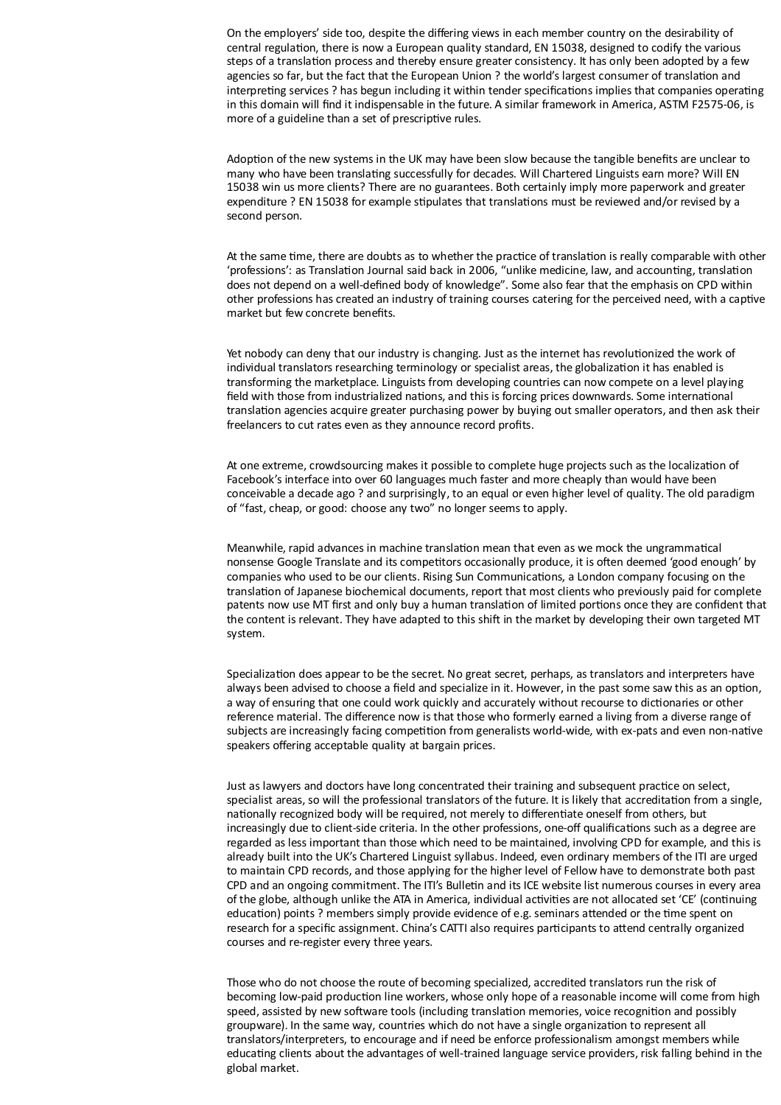On the employers' side too, despite the differing views in each member country on the desirability of central regulation, there is now a European quality standard, EN 15038, designed to codify the various steps of a translation process and thereby ensure greater consistency. It has only been adopted by a few agencies so far, but the fact that the European Union ? the world's largest consumer of translation and interpreting services ? has begun including it within tender specifications implies that companies operating in this domain will find it indispensable in the future. A similar framework in America, ASTM F2575‐06, is more of a guideline than a set of prescriptive rules.

Adoption of the new systems in the UK may have been slow because the tangible benefits are unclear to many who have been translating successfully for decades. Will Chartered Linguists earn more? Will EN 15038 win us more clients? There are no guarantees. Both certainly imply more paperwork and greater expenditure ? EN 15038 for example stipulates that translations must be reviewed and/or revised by a second person.

At the same time, there are doubts as to whether the practice of translation is really comparable with other 'professions': as Translation Journal said back in 2006, "unlike medicine, law, and accounting, translation does not depend on a well‐defined body of knowledge". Some also fear that the emphasis on CPD within other professions has created an industry of training courses catering for the perceived need, with a captive market but few concrete benefits.

Yet nobody can deny that our industry is changing. Just as the internet has revolutionized the work of individual translators researching terminology or specialist areas, the globalization it has enabled is transforming the marketplace. Linguists from developing countries can now compete on a level playing field with those from industrialized nations, and this is forcing prices downwards. Some international translation agencies acquire greater purchasing power by buying out smaller operators, and then ask their freelancers to cut rates even as they announce record profits.

At one extreme, crowdsourcing makes it possible to complete huge projects such as the localization of Facebook's interface into over 60 languages much faster and more cheaply than would have been conceivable a decade ago ? and surprisingly, to an equal or even higher level of quality. The old paradigm of "fast, cheap, or good: choose any two" no longer seems to apply.

Meanwhile, rapid advances in machine translation mean that even as we mock the ungrammatical nonsense Google Translate and its competitors occasionally produce, it is often deemed 'good enough' by companies who used to be our clients. Rising Sun Communications, a London company focusing on the translation of Japanese biochemical documents, report that most clients who previously paid for complete patents now use MT first and only buy a human translation of limited portions once they are confident that the content is relevant. They have adapted to this shift in the market by developing their own targeted MT system.

Specialization does appear to be the secret. No great secret, perhaps, as translators and interpreters have always been advised to choose a field and specialize in it. However, in the past some saw this as an option, a way of ensuring that one could work quickly and accurately without recourse to dictionaries or other reference material. The difference now is that those who formerly earned a living from a diverse range of subjects are increasingly facing competition from generalists world-wide, with ex-pats and even non-native speakers offering acceptable quality at bargain prices.

Just as lawyers and doctors have long concentrated their training and subsequent practice on select, specialist areas, so will the professional translators of the future. It is likely that accreditation from a single, nationally recognized body will be required, not merely to differentiate oneself from others, but increasingly due to client-side criteria. In the other professions, one-off qualifications such as a degree are regarded as less important than those which need to be maintained, involving CPD for example, and this is already built into the UK's Chartered Linguist syllabus. Indeed, even ordinary members of the ITI are urged to maintain CPD records, and those applying for the higher level of Fellow have to demonstrate both past CPD and an ongoing commitment. The ITI's Bulletin and its ICE website list numerous courses in every area of the globe, although unlike the ATA in America, individual activities are not allocated set 'CE' (continuing education) points ? members simply provide evidence of e.g. seminars attended or the time spent on research for a specific assignment. China's CATTI also requires participants to attend centrally organized courses and re‐register every three years.

Those who do not choose the route of becoming specialized, accredited translators run the risk of becoming low-paid production line workers, whose only hope of a reasonable income will come from high speed, assisted by new software tools (including translation memories, voice recognition and possibly groupware). In the same way, countries which do not have a single organization to represent all translators/interpreters, to encourage and if need be enforce professionalism amongst members while educating clients about the advantages of well-trained language service providers, risk falling behind in the global market.